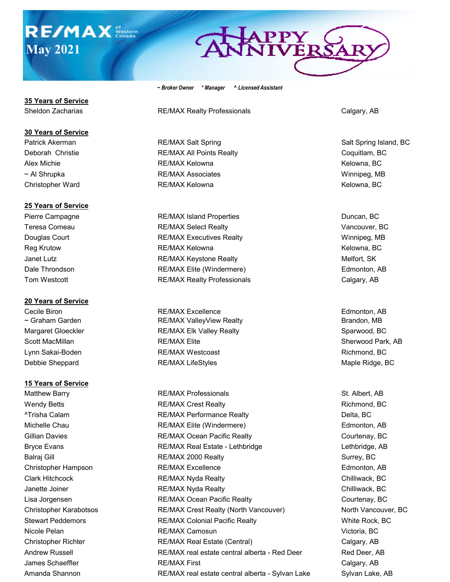# **RE/MAX** Stern **May 2021**

# APPY<br>NIVERS

*~ Broker Owner \* Manager ^ Licensed Assistant*

Sheldon Zacharias **RE/MAX Realty Professionals** Calgary, AB

Patrick Akerman **RE/MAX Salt Spring Community Salt Spring Island, BC** Salt Spring Island, BC Deborah Christie **RE/MAX All Points Realty** Coquitlam, BC Alex Michie **RE/MAX Kelowna** Kelowna Kelowna, BC ~ Al Shrupka **RE/MAX Associates** Winnipeg, MB Christopher Ward **RE/MAX Kelowna** RE/MAX Kelowna **RE/MAX Kelowna** Kelowna, BC

Pierre Campagne The RE/MAX Island Properties The Campagne Duncan, BC Teresa Comeau **RE/MAX Select Realty RECOLL 2006** Vancouver, BC Douglas Court **Example 2018** RE/MAX Executives Realty Realty Realty Resource Realty Resource Realty Reg Krutow **REGONAX Kelowna** KEMAX Kelowna **REGONA Kelowna**, BC Janet Lutz **Markow Community RE/MAX Keystone Realty** Melfort, SK Melfort, SK Dale Throndson **RE/MAX Elite (Windermere)** Edmonton, AB Edmonton, AB Tom Westcott **RE/MAX Realty Professionals** Calgary, AB

Cecile Biron **RE/MAX Excellence Edmonton, AB** ~ Graham Garden **RE/MAX ValleyView Realty** Brandon, MB Margaret Gloeckler **RE/MAX Elk Valley Realty** Sparwood, BC Sparwood, BC Scott MacMillan **Sherwood Park, AB** RE/MAX Elite Sherwood Park, AB Sherwood Park, AB Lynn Sakai-Boden **RE/MAX Westcoast** Richmond, BC Richmond, BC Debbie Sheppard **RE/MAX LifeStyles** Maple Ridge, BC Maple Ridge, BC

Matthew Barry **RE/MAX Professionals** St. Albert, AB Wendy Betts **RE/MAX Crest Realty REXALL RIGHT RIGHT RIGHT RIGHT RIGHT RIGHT RIGHT RIGHT RIGHT RIGHT RIGHT RIGHT RIGHT RIGHT RIGHT RIGHT RIGHT RIGHT RIGHT RIGHT RIGHT RIGHT RIGHT RIGHT RIGHT RIGHT RIGHT RIGHT RIGHT RIGHT** ^Trisha Calam **Calam RE/MAX Performance Realty Delta, BC** Michelle Chau **RE/MAX Elite (Windermere)** The Chau Revenue of the Chau Revenue of the Revenue of The Revenue of T Gillian Davies **RE/MAX Ocean Pacific Realty** Courtenay, BC Courtenay, BC Bryce Evans **RE/MAX Real Estate - Lethbridge** Lethbridge, AB Balraj Gill **RE/MAX 2000 Realty** Surrey, BC Surrey, BC Christopher Hampson **RE/MAX Excellence** Edmonton, AB Clark Hitchcock **Clark RE/MAX Nyda Realty** Chilliwack, BC Chilliwack, BC Janette Joiner **Chilliwack, BC** RE/MAX Nyda Realty **Chilliwack, BC** Chilliwack, BC Lisa Jorgensen RE/MAX Ocean Pacific Realty Courtenay, BC Christopher Karabotsos RE/MAX Crest Realty (North Vancouver) North Vancouver, BC Stewart Peddemors **RE/MAX Colonial Pacific Realty Realty** White Rock, BC Nicole Pelan **Nicole Pelan** RE/MAX Camosun **RE/MAX Camosun** Victoria, BC Christopher Richter RE/MAX Real Estate (Central) Calgary, AB Andrew Russell **RE/MAX real estate central alberta - Red Deer** Red Deer, AB James Schaeffler **Calgary, AB RE/MAX First Calgary, AB** Calgary, AB Amanda Shannon **RE/MAX real estate central alberta - Sylvan Lake** Sylvan Lake, AB

**35 Years of Service**

#### **30 Years of Service**

### **25 Years of Service**

# **20 Years of Service**

# **15 Years of Service**